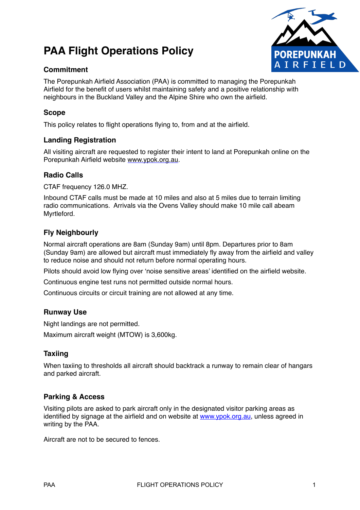# **PAA Flight Operations Policy**

## **Commitment**



The Porepunkah Airfield Association (PAA) is committed to managing the Porepunkah Airfield for the benefit of users whilst maintaining safety and a positive relationship with neighbours in the Buckland Valley and the Alpine Shire who own the airfield.

## **Scope**

This policy relates to flight operations flying to, from and at the airfield.

## **Landing Registration**

All visiting aircraft are requested to register their intent to land at Porepunkah online on the Porepunkah Airfield website [www.ypok.org.au.](http://www.ypok.org.au)

#### **Radio Calls**

CTAF frequency 126.0 MHZ.

Inbound CTAF calls must be made at 10 miles and also at 5 miles due to terrain limiting radio communications. Arrivals via the Ovens Valley should make 10 mile call abeam Myrtleford.

## **Fly Neighbourly**

Normal aircraft operations are 8am (Sunday 9am) until 8pm. Departures prior to 8am (Sunday 9am) are allowed but aircraft must immediately fly away from the airfield and valley to reduce noise and should not return before normal operating hours.

Pilots should avoid low flying over 'noise sensitive areas' identified on the airfield website.

Continuous engine test runs not permitted outside normal hours.

Continuous circuits or circuit training are not allowed at any time.

## **Runway Use**

Night landings are not permitted.

Maximum aircraft weight (MTOW) is 3,600kg.

## **Taxiing**

When taxiing to thresholds all aircraft should backtrack a runway to remain clear of hangars and parked aircraft.

## **Parking & Access**

Visiting pilots are asked to park aircraft only in the designated visitor parking areas as identified by signage at the airfield and on website at [www.ypok.org.au](http://www.ypok.org.au), unless agreed in writing by the PAA.

Aircraft are not to be secured to fences.